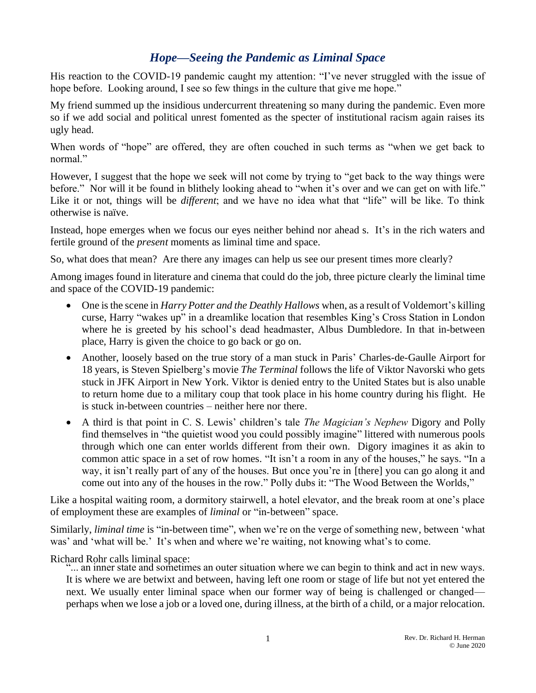## *Hope—Seeing the Pandemic as Liminal Space*

His reaction to the COVID-19 pandemic caught my attention: "I've never struggled with the issue of hope before. Looking around, I see so few things in the culture that give me hope."

My friend summed up the insidious undercurrent threatening so many during the pandemic. Even more so if we add social and political unrest fomented as the specter of institutional racism again raises its ugly head.

When words of "hope" are offered, they are often couched in such terms as "when we get back to normal."

However, I suggest that the hope we seek will not come by trying to "get back to the way things were before." Nor will it be found in blithely looking ahead to "when it's over and we can get on with life." Like it or not, things will be *different*; and we have no idea what that "life" will be like. To think otherwise is naïve.

Instead, hope emerges when we focus our eyes neither behind nor ahead s. It's in the rich waters and fertile ground of the *present* moments as liminal time and space.

So, what does that mean? Are there any images can help us see our present times more clearly?

Among images found in literature and cinema that could do the job, three picture clearly the liminal time and space of the COVID-19 pandemic:

- One is the scene in *Harry Potter and the Deathly Hallows* when, as a result of Voldemort's killing curse, Harry "wakes up" in a dreamlike location that resembles King's Cross Station in London where he is greeted by his school's dead headmaster, Albus Dumbledore. In that in-between place, Harry is given the choice to go back or go on.
- Another, loosely based on the true story of a man stuck in Paris' Charles-de-Gaulle Airport for 18 years, is Steven Spielberg's movie *The Terminal* follows the life of Viktor Navorski who gets stuck in JFK Airport in New York. Viktor is denied entry to the United States but is also unable to return home due to a military coup that took place in his home country during his flight. He is stuck in-between countries – neither here nor there.
- A third is that point in C. S. Lewis' children's tale *The Magician's Nephew* Digory and Polly find themselves in "the quietist wood you could possibly imagine" littered with numerous pools through which one can enter worlds different from their own. Digory imagines it as akin to common attic space in a set of row homes. "It isn't a room in any of the houses," he says. "In a way, it isn't really part of any of the houses. But once you're in [there] you can go along it and come out into any of the houses in the row." Polly dubs it: "The Wood Between the Worlds,"

Like a hospital waiting room, a dormitory stairwell, a hotel elevator, and the break room at one's place of employment these are examples of *liminal* or "in-between" space.

Similarly, *liminal time* is "in-between time", when we're on the verge of something new, between 'what was' and 'what will be.' It's when and where we're waiting, not knowing what's to come.

Richard Rohr calls liminal space:

"... an inner state and sometimes an outer situation where we can begin to think and act in new ways. It is where we are betwixt and between, having left one room or stage of life but not yet entered the next. We usually enter liminal space when our former way of being is challenged or changed perhaps when we lose a job or a loved one, during illness, at the birth of a child, or a major relocation.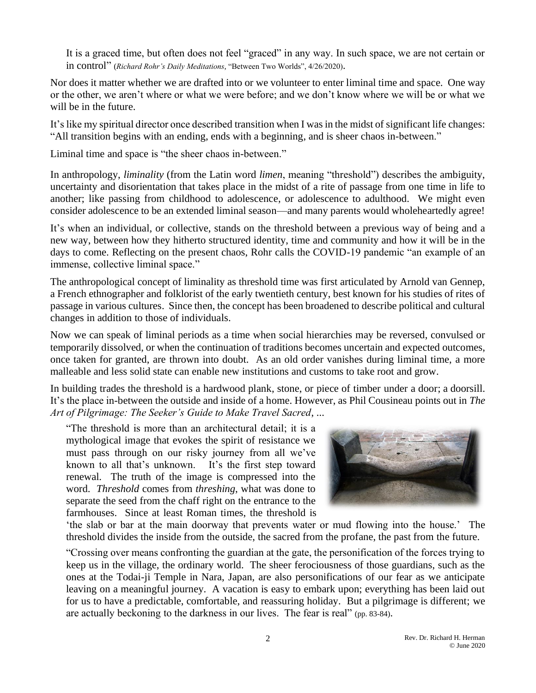It is a graced time, but often does not feel "graced" in any way. In such space, we are not certain or in control" (*Richard Rohr's Daily Meditations*, "Between Two Worlds", 4/26/2020).

Nor does it matter whether we are drafted into or we volunteer to enter liminal time and space. One way or the other, we aren't where or what we were before; and we don't know where we will be or what we will be in the future.

It's like my spiritual director once described transition when I was in the midst of significant life changes: "All transition begins with an ending, ends with a beginning, and is sheer chaos in-between."

Liminal time and space is "the sheer chaos in-between."

In anthropology, *liminality* (from the Latin word *limen*, meaning "threshold") describes the ambiguity, uncertainty and disorientation that takes place in the midst of a rite of passage from one time in life to another; like passing from childhood to adolescence, or adolescence to adulthood. We might even consider adolescence to be an extended liminal season—and many parents would wholeheartedly agree!

It's when an individual, or collective, stands on the threshold between a previous way of being and a new way, between how they hitherto structured identity, time and community and how it will be in the days to come. Reflecting on the present chaos, Rohr calls the COVID-19 pandemic "an example of an immense, collective liminal space."

The anthropological concept of liminality as threshold time was first articulated by Arnold van Gennep, a French ethnographer and folklorist of the early twentieth century, best known for his studies of rites of passage in various cultures. Since then, the concept has been broadened to describe political and cultural changes in addition to those of individuals.

Now we can speak of liminal periods as a time when social hierarchies may be reversed, convulsed or temporarily dissolved, or when the continuation of traditions becomes uncertain and expected outcomes, once taken for granted, are thrown into doubt. As an old order vanishes during liminal time, a more malleable and less solid state can enable new institutions and customs to take root and grow.

In building trades the threshold is a hardwood plank, stone, or piece of timber under a door; a doorsill. It's the place in-between the outside and inside of a home. However, as Phil Cousineau points out in *The Art of Pilgrimage: The Seeker's Guide to Make Travel Sacred*, ...

"The threshold is more than an architectural detail; it is a mythological image that evokes the spirit of resistance we must pass through on our risky journey from all we've known to all that's unknown. It's the first step toward renewal. The truth of the image is compressed into the word. *Threshold* comes from *threshing*, what was done to separate the seed from the chaff right on the entrance to the farmhouses. Since at least Roman times, the threshold is



'the slab or bar at the main doorway that prevents water or mud flowing into the house.' The threshold divides the inside from the outside, the sacred from the profane, the past from the future.

"Crossing over means confronting the guardian at the gate, the personification of the forces trying to keep us in the village, the ordinary world. The sheer ferociousness of those guardians, such as the ones at the Todai-ji Temple in Nara, Japan, are also personifications of our fear as we anticipate leaving on a meaningful journey. A vacation is easy to embark upon; everything has been laid out for us to have a predictable, comfortable, and reassuring holiday. But a pilgrimage is different; we are actually beckoning to the darkness in our lives. The fear is real" (pp. 83-84).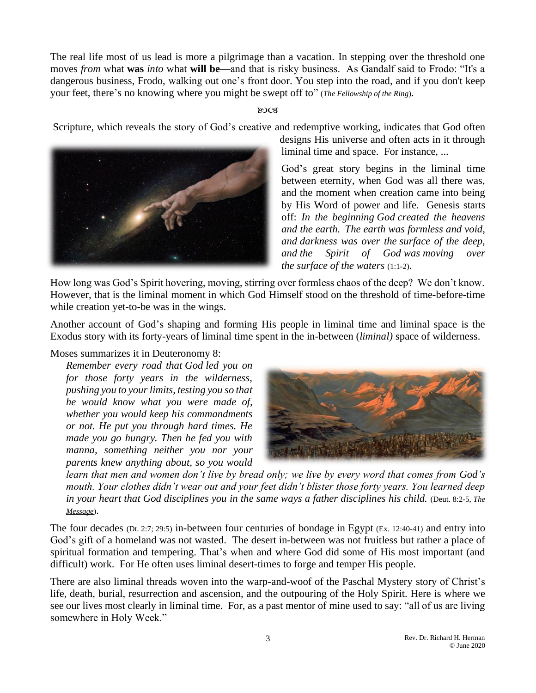The real life most of us lead is more a pilgrimage than a vacation. In stepping over the threshold one moves *from* what **was** *into* what **will be**—and that is risky business. As Gandalf said to Frodo: "It's a dangerous business, Frodo, walking out one's front door. You step into the road, and if you don't keep your feet, there's no knowing where you might be swept off to" (*The Fellowship of the Ring*).

## ುಂತ

Scripture, which reveals the story of God's creative and redemptive working, indicates that God often



designs His universe and often acts in it through liminal time and space. For instance, ...

God's great story begins in the liminal time between eternity, when God was all there was, and the moment when creation came into being by His Word of power and life. Genesis starts off: *In the beginning God created the heavens and the earth. The earth was formless and void, and darkness was over the surface of the deep, and the Spirit of God was moving over the surface of the waters* (1:1-2).

How long was God's Spirit hovering, moving, stirring over formless chaos of the deep? We don't know. However, that is the liminal moment in which God Himself stood on the threshold of time-before-time while creation yet-to-be was in the wings.

Another account of God's shaping and forming His people in liminal time and liminal space is the Exodus story with its forty-years of liminal time spent in the in-between (*liminal)* space of wilderness.

Moses summarizes it in Deuteronomy 8:

*Remember every road that God led you on for those forty years in the wilderness, pushing you to your limits, testing you so that he would know what you were made of, whether you would keep his commandments or not. He put you through hard times. He made you go hungry. Then he fed you with manna, something neither you nor your parents knew anything about, so you would* 



*learn that men and women don't live by bread only; we live by every word that comes from God's mouth. Your clothes didn't wear out and your feet didn't blister those forty years. You learned deep in your heart that God disciplines you in the same ways a father disciplines his child.* (Deut. 8:2-5, *The Message*).

The four decades (Dt. 2:7; 29:5) in-between four centuries of bondage in Egypt (Ex. 12:40-41) and entry into God's gift of a homeland was not wasted. The desert in-between was not fruitless but rather a place of spiritual formation and tempering. That's when and where God did some of His most important (and difficult) work. For He often uses liminal desert-times to forge and temper His people.

There are also liminal threads woven into the warp-and-woof of the Paschal Mystery story of Christ's life, death, burial, resurrection and ascension, and the outpouring of the Holy Spirit. Here is where we see our lives most clearly in liminal time. For, as a past mentor of mine used to say: "all of us are living somewhere in Holy Week."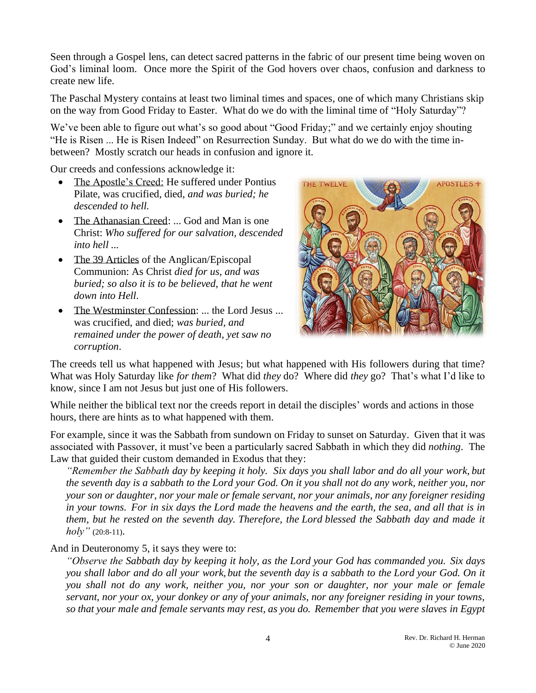Seen through a Gospel lens, can detect sacred patterns in the fabric of our present time being woven on God's liminal loom. Once more the Spirit of the God hovers over chaos, confusion and darkness to create new life.

The Paschal Mystery contains at least two liminal times and spaces, one of which many Christians skip on the way from Good Friday to Easter. What do we do with the liminal time of "Holy Saturday"?

We've been able to figure out what's so good about "Good Friday;" and we certainly enjoy shouting "He is Risen ... He is Risen Indeed" on Resurrection Sunday. But what do we do with the time inbetween? Mostly scratch our heads in confusion and ignore it.

Our creeds and confessions acknowledge it:

- The Apostle's Creed: He suffered under Pontius Pilate, was crucified, died, *and was buried; he descended to hell.*
- The Athanasian Creed: ... God and Man is one Christ: *Who suffered for our salvation, descended into hell ...*
- The 39 Articles of the Anglican/Episcopal Communion: As Christ *died for us, and was buried; so also it is to be believed, that he went down into Hell*.
- The Westminster Confession: ... the Lord Jesus ... was crucified, and died; *was buried, and remained under the power of death, yet saw no corruption*.



The creeds tell us what happened with Jesus; but what happened with His followers during that time? What was Holy Saturday like *for them*? What did *they* do? Where did *they* go? That's what I'd like to know, since I am not Jesus but just one of His followers.

While neither the biblical text nor the creeds report in detail the disciples' words and actions in those hours, there are hints as to what happened with them.

For example, since it was the Sabbath from sundown on Friday to sunset on Saturday. Given that it was associated with Passover, it must've been a particularly sacred Sabbath in which they did *nothing*. The Law that guided their custom demanded in Exodus that they:

*"Remember the Sabbath day by keeping it holy. Six days you shall labor and do all your work, but the seventh day is a sabbath to the Lord your God. On it you shall not do any work, neither you, nor your son or daughter, nor your male or female servant, nor your animals, nor any foreigner residing in your towns. For in six days the Lord made the heavens and the earth, the sea, and all that is in them, but he rested on the seventh day. Therefore, the Lord blessed the Sabbath day and made it*   $holy''(20:8-11)$ .

And in Deuteronomy 5, it says they were to:

*"Observe the Sabbath day by keeping it holy, as the Lord your God has commanded you. Six days you shall labor and do all your work, but the seventh day is a sabbath to the Lord your God. On it you shall not do any work, neither you, nor your son or daughter, nor your male or female servant, nor your ox, your donkey or any of your animals, nor any foreigner residing in your towns, so that your male and female servants may rest, as you do. Remember that you were slaves in Egypt*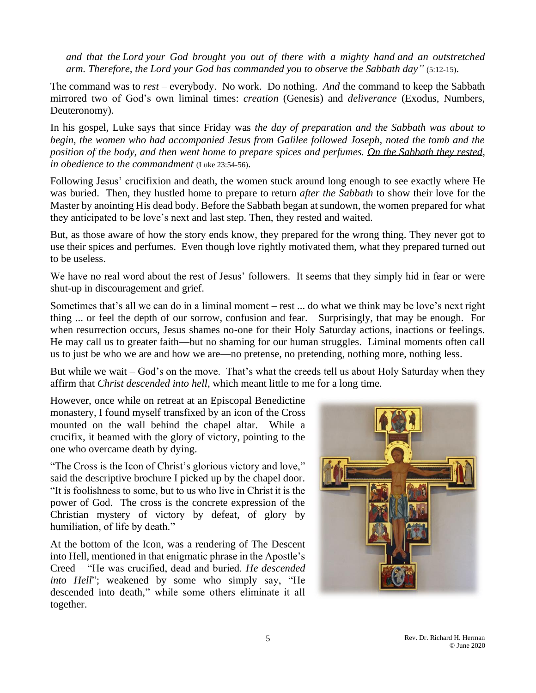*and that the Lord your God brought you out of there with a mighty hand and an outstretched arm. Therefore, the Lord your God has commanded you to observe the Sabbath day"* (5:12-15).

The command was to *rest* – everybody. No work. Do nothing. *And* the command to keep the Sabbath mirrored two of God's own liminal times: *creation* (Genesis) and *deliverance* (Exodus, Numbers, Deuteronomy).

In his gospel, Luke says that since Friday was *the day of preparation and the Sabbath was about to begin, the women who had accompanied Jesus from Galilee followed Joseph, noted the tomb and the position of the body, and then went home to prepare spices and perfumes. On the Sabbath they rested, in obedience to the commandment* (Luke 23:54-56).

Following Jesus' crucifixion and death, the women stuck around long enough to see exactly where He was buried. Then, they hustled home to prepare to return *after the Sabbath* to show their love for the Master by anointing His dead body. Before the Sabbath began at sundown, the women prepared for what they anticipated to be love's next and last step. Then, they rested and waited.

But, as those aware of how the story ends know, they prepared for the wrong thing. They never got to use their spices and perfumes. Even though love rightly motivated them, what they prepared turned out to be useless.

We have no real word about the rest of Jesus' followers. It seems that they simply hid in fear or were shut-up in discouragement and grief.

Sometimes that's all we can do in a liminal moment – rest ... do what we think may be love's next right thing ... or feel the depth of our sorrow, confusion and fear. Surprisingly, that may be enough. For when resurrection occurs, Jesus shames no-one for their Holy Saturday actions, inactions or feelings. He may call us to greater faith—but no shaming for our human struggles. Liminal moments often call us to just be who we are and how we are—no pretense, no pretending, nothing more, nothing less.

But while we wait – God's on the move. That's what the creeds tell us about Holy Saturday when they affirm that *Christ descended into hell*, which meant little to me for a long time.

However, once while on retreat at an Episcopal Benedictine monastery, I found myself transfixed by an icon of the Cross mounted on the wall behind the chapel altar. While a crucifix, it beamed with the glory of victory, pointing to the one who overcame death by dying.

"The Cross is the Icon of Christ's glorious victory and love," said the descriptive brochure I picked up by the chapel door. "It is foolishness to some, but to us who live in Christ it is the power of God. The cross is the concrete expression of the Christian mystery of victory by defeat, of glory by humiliation, of life by death."

At the bottom of the Icon, was a rendering of The Descent into Hell, mentioned in that enigmatic phrase in the Apostle's Creed – "He was crucified, dead and buried. *He descended into Hell*"; weakened by some who simply say, "He descended into death," while some others eliminate it all together.

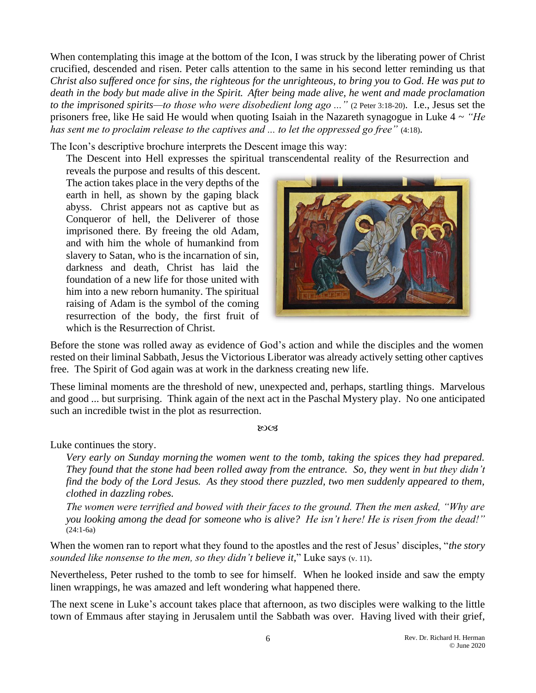When contemplating this image at the bottom of the Icon, I was struck by the liberating power of Christ crucified, descended and risen. Peter calls attention to the same in his second letter reminding us that *Christ also suffered once for sins, the righteous for the unrighteous, to bring you to God. He was put to death in the body but made alive in the Spirit. After being made alive, he went and made proclamation to the imprisoned spirits—to those who were disobedient long ago ..."* (2 Peter 3:18-20). I.e., Jesus set the prisoners free, like He said He would when quoting Isaiah in the Nazareth synagogue in Luke 4 ~ *"He has sent me to proclaim release to the captives and ... to let the oppressed go free"* (4:18).

The Icon's descriptive brochure interprets the Descent image this way:

The Descent into Hell expresses the spiritual transcendental reality of the Resurrection and

reveals the purpose and results of this descent. The action takes place in the very depths of the earth in hell, as shown by the gaping black abyss. Christ appears not as captive but as Conqueror of hell, the Deliverer of those imprisoned there. By freeing the old Adam, and with him the whole of humankind from slavery to Satan, who is the incarnation of sin, darkness and death, Christ has laid the foundation of a new life for those united with him into a new reborn humanity. The spiritual raising of Adam is the symbol of the coming resurrection of the body, the first fruit of which is the Resurrection of Christ.



Before the stone was rolled away as evidence of God's action and while the disciples and the women rested on their liminal Sabbath, Jesus the Victorious Liberator was already actively setting other captives free. The Spirit of God again was at work in the darkness creating new life.

These liminal moments are the threshold of new, unexpected and, perhaps, startling things. Marvelous and good ... but surprising. Think again of the next act in the Paschal Mystery play. No one anticipated such an incredible twist in the plot as resurrection.

**ROCK** 

Luke continues the story.

*Very early on Sunday morning the women went to the tomb, taking the spices they had prepared. They found that the stone had been rolled away from the entrance. So, they went in but they didn't find the body of the Lord Jesus. As they stood there puzzled, two men suddenly appeared to them, clothed in dazzling robes.*

*The women were terrified and bowed with their faces to the ground. Then the men asked, "Why are you looking among the dead for someone who is alive? He isn't here! He is risen from the dead!"* (24:1-6a)

When the women ran to report what they found to the apostles and the rest of Jesus' disciples, "*the story sounded like nonsense to the men, so they didn't believe it,*" Luke says (v. 11).

Nevertheless, Peter rushed to the tomb to see for himself. When he looked inside and saw the empty linen wrappings, he was amazed and left wondering what happened there.

The next scene in Luke's account takes place that afternoon, as two disciples were walking to the little town of Emmaus after staying in Jerusalem until the Sabbath was over. Having lived with their grief,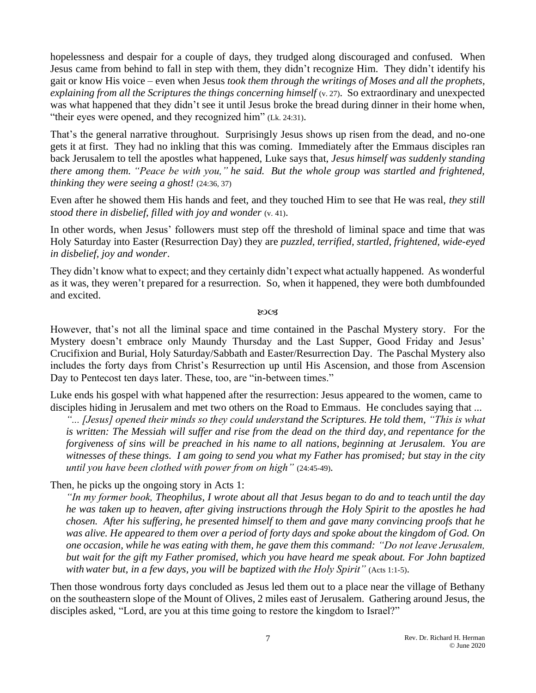hopelessness and despair for a couple of days, they trudged along discouraged and confused. When Jesus came from behind to fall in step with them, they didn't recognize Him. They didn't identify his gait or know His voice – even when Jesus *took them through the writings of Moses and all the prophets, explaining from all the Scriptures the things concerning himself (v. 27).* So extraordinary and unexpected was what happened that they didn't see it until Jesus broke the bread during dinner in their home when, "their eyes were opened, and they recognized him" (Lk. 24:31).

That's the general narrative throughout. Surprisingly Jesus shows up risen from the dead, and no-one gets it at first. They had no inkling that this was coming. Immediately after the Emmaus disciples ran back Jerusalem to tell the apostles what happened, Luke says that, *Jesus himself was suddenly standing there among them. "Peace be with you," he said. But the whole group was startled and frightened, thinking they were seeing a ghost!* (24:36, 37)

Even after he showed them His hands and feet, and they touched Him to see that He was real, *they still stood there in disbelief, filled with joy and wonder* (v. 41).

In other words, when Jesus' followers must step off the threshold of liminal space and time that was Holy Saturday into Easter (Resurrection Day) they are *puzzled, terrified, startled, frightened, wide-eyed in disbelief, joy and wonder*.

They didn't know what to expect; and they certainly didn't expect what actually happened. As wonderful as it was, they weren't prepared for a resurrection. So, when it happened, they were both dumbfounded and excited.

8003

However, that's not all the liminal space and time contained in the Paschal Mystery story. For the Mystery doesn't embrace only Maundy Thursday and the Last Supper, Good Friday and Jesus' Crucifixion and Burial, Holy Saturday/Sabbath and Easter/Resurrection Day. The Paschal Mystery also includes the forty days from Christ's Resurrection up until His Ascension, and those from Ascension Day to Pentecost ten days later. These, too, are "in-between times."

Luke ends his gospel with what happened after the resurrection: Jesus appeared to the women, came to disciples hiding in Jerusalem and met two others on the Road to Emmaus. He concludes saying that ...

*"... [Jesus] opened their minds so they could understand the Scriptures. He told them, "This is what is written: The Messiah will suffer and rise from the dead on the third day, and repentance for the forgiveness of sins will be preached in his name to all nations, beginning at Jerusalem. You are witnesses of these things. I am going to send you what my Father has promised; but stay in the city until you have been clothed with power from on high"* (24:45-49).

Then, he picks up the ongoing story in Acts 1:

*"In my former book, Theophilus, I wrote about all that Jesus began to do and to teach until the day he was taken up to heaven, after giving instructions through the Holy Spirit to the apostles he had chosen. After his suffering, he presented himself to them and gave many convincing proofs that he was alive. He appeared to them over a period of forty days and spoke about the kingdom of God. On one occasion, while he was eating with them, he gave them this command: "Do not leave Jerusalem, but wait for the gift my Father promised, which you have heard me speak about. For John baptized with water but, in a few days, you will be baptized with the Holy Spirit"* (Acts 1:1-5).

Then those wondrous forty days concluded as Jesus led them out to a place near the village of Bethany on the southeastern slope of the Mount of Olives, 2 miles east of Jerusalem. Gathering around Jesus, the disciples asked, "Lord, are you at this time going to restore the kingdom to Israel?"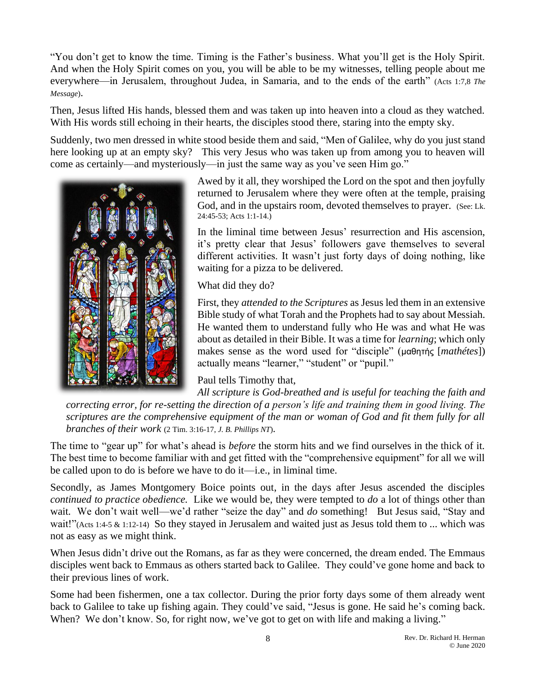"You don't get to know the time. Timing is the Father's business. What you'll get is the Holy Spirit. And when the Holy Spirit comes on you, you will be able to be my witnesses, telling people about me everywhere—in Jerusalem, throughout Judea, in Samaria, and to the ends of the earth" (Acts 1:7,8 *The Message*).

Then, Jesus lifted His hands, blessed them and was taken up into heaven into a cloud as they watched. With His words still echoing in their hearts, the disciples stood there, staring into the empty sky.

Suddenly, two men dressed in white stood beside them and said, "Men of Galilee, why do you just stand here looking up at an empty sky? This very Jesus who was taken up from among you to heaven will come as certainly—and mysteriously—in just the same way as you've seen Him go."



Awed by it all, they worshiped the Lord on the spot and then joyfully returned to Jerusalem where they were often at the temple, praising God, and in the upstairs room, devoted themselves to prayer. (See: Lk. 24:45-53; Acts 1:1-14.)

In the liminal time between Jesus' resurrection and His ascension, it's pretty clear that Jesus' followers gave themselves to several different activities. It wasn't just forty days of doing nothing, like waiting for a pizza to be delivered.

What did they do?

First, they *attended to the Scriptures* as Jesus led them in an extensive Bible study of what Torah and the Prophets had to say about Messiah. He wanted them to understand fully who He was and what He was about as detailed in their Bible. It was a time for *learning*; which only makes sense as the word used for "disciple" (μαθητής [*mathétes*]) actually means "learner," "student" or "pupil."

## Paul tells Timothy that,

*All scripture is God-breathed and is useful for teaching the faith and correcting error, for re-setting the direction of a person's life and training them in good living. The scriptures are the comprehensive equipment of the man or woman of God and fit them fully for all branches of their work* (2 Tim. 3:16-17, *J. B. Phillips NT*).

The time to "gear up" for what's ahead is *before* the storm hits and we find ourselves in the thick of it. The best time to become familiar with and get fitted with the "comprehensive equipment" for all we will be called upon to do is before we have to do it—i.e., in liminal time.

Secondly, as James Montgomery Boice points out, in the days after Jesus ascended the disciples *continued to practice obedience.* Like we would be, they were tempted to *do* a lot of things other than wait. We don't wait well—we'd rather "seize the day" and *do* something! But Jesus said, "Stay and wait!"(Acts 1:4-5 & 1:12-14) So they stayed in Jerusalem and waited just as Jesus told them to ... which was not as easy as we might think.

When Jesus didn't drive out the Romans, as far as they were concerned, the dream ended. The Emmaus disciples went back to Emmaus as others started back to Galilee. They could've gone home and back to their previous lines of work.

Some had been fishermen, one a tax collector. During the prior forty days some of them already went back to Galilee to take up fishing again. They could've said, "Jesus is gone. He said he's coming back. When? We don't know. So, for right now, we've got to get on with life and making a living."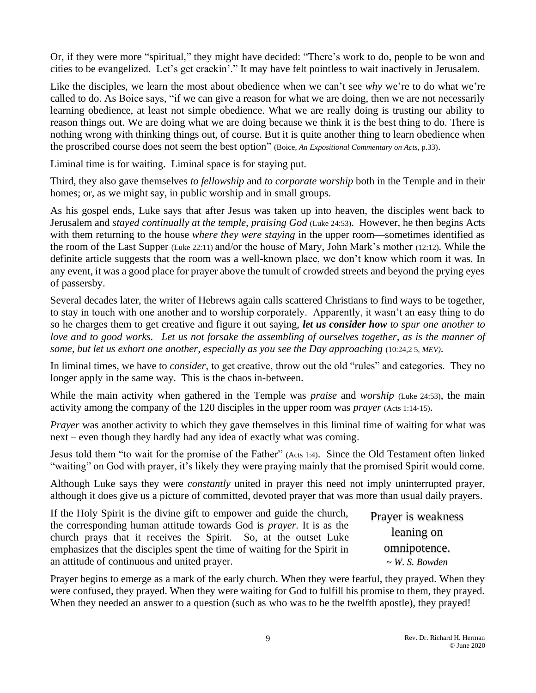Or, if they were more "spiritual," they might have decided: "There's work to do, people to be won and cities to be evangelized. Let's get crackin'." It may have felt pointless to wait inactively in Jerusalem.

Like the disciples, we learn the most about obedience when we can't see *why* we're to do what we're called to do. As Boice says, "if we can give a reason for what we are doing, then we are not necessarily learning obedience, at least not simple obedience. What we are really doing is trusting our ability to reason things out. We are doing what we are doing because we think it is the best thing to do. There is nothing wrong with thinking things out, of course. But it is quite another thing to learn obedience when the proscribed course does not seem the best option" (Boice, *An Expositional Commentary on Acts*, p.33).

Liminal time is for waiting. Liminal space is for staying put.

Third, they also gave themselves *to fellowship* and *to corporate worship* both in the Temple and in their homes; or, as we might say, in public worship and in small groups.

As his gospel ends, Luke says that after Jesus was taken up into heaven, the disciples went back to Jerusalem and *stayed continually at the temple, praising God* (Luke 24:53). However, he then begins Acts with them returning to the house *where they were staying* in the upper room—sometimes identified as the room of the Last Supper (Luke 22:11) and/or the house of Mary, John Mark's mother (12:12). While the definite article suggests that the room was a well-known place, we don't know which room it was. In any event, it was a good place for prayer above the tumult of crowded streets and beyond the prying eyes of passersby.

Several decades later, the writer of Hebrews again calls scattered Christians to find ways to be together, to stay in touch with one another and to worship corporately. Apparently, it wasn't an easy thing to do so he charges them to get creative and figure it out saying, *let us consider how to spur one another to love and to good works. Let us not forsake the assembling of ourselves together, as is the manner of some, but let us exhort one another, especially as you see the Day approaching* (10:24,2 5, *MEV)*.

In liminal times, we have to *consider*, to get creative, throw out the old "rules" and categories. They no longer apply in the same way. This is the chaos in-between.

While the main activity when gathered in the Temple was *praise* and *worship* (Luke 24:53), the main activity among the company of the 120 disciples in the upper room was *prayer* (Acts 1:14-15).

*Prayer* was another activity to which they gave themselves in this liminal time of waiting for what was next – even though they hardly had any idea of exactly what was coming.

Jesus told them "to wait for the promise of the Father" (Acts 1:4). Since the Old Testament often linked "waiting" on God with prayer, it's likely they were praying mainly that the promised Spirit would come.

Although Luke says they were *constantly* united in prayer this need not imply uninterrupted prayer, although it does give us a picture of committed, devoted prayer that was more than usual daily prayers.

| If the Holy Spirit is the divine gift to empower and guide the church,       | Prayer is weakness  |
|------------------------------------------------------------------------------|---------------------|
| the corresponding human attitude towards God is <i>prayer</i> . It is as the |                     |
| church prays that it receives the Spirit. So, at the outset Luke             | leaning on          |
| emphasizes that the disciples spent the time of waiting for the Spirit in    | omnipotence.        |
| an attitude of continuous and united prayer.                                 | $\sim$ W. S. Bowden |

Prayer begins to emerge as a mark of the early church. When they were fearful, they prayed. When they were confused, they prayed. When they were waiting for God to fulfill his promise to them, they prayed. When they needed an answer to a question (such as who was to be the twelfth apostle), they prayed!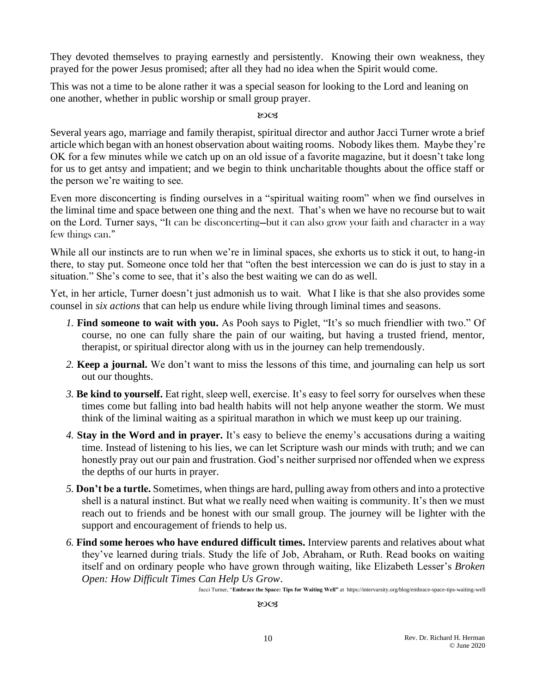They devoted themselves to praying earnestly and persistently. Knowing their own weakness, they prayed for the power Jesus promised; after all they had no idea when the Spirit would come.

This was not a time to be alone rather it was a special season for looking to the Lord and leaning on one another, whether in public worship or small group prayer.

## ುಂತ

Several years ago, marriage and family therapist, spiritual director and author Jacci Turner wrote a brief article which began with an honest observation about waiting rooms. Nobody likes them. Maybe they're OK for a few minutes while we catch up on an old issue of a favorite magazine, but it doesn't take long for us to get antsy and impatient; and we begin to think uncharitable thoughts about the office staff or the person we're waiting to see.

Even more disconcerting is finding ourselves in a "spiritual waiting room" when we find ourselves in the liminal time and space between one thing and the next. That's when we have no recourse but to wait on the Lord. Turner says, "It can be disconcerting—but it can also grow your faith and character in a way few things can."

While all our instincts are to run when we're in liminal spaces, she exhorts us to stick it out, to hang-in there, to stay put. Someone once told her that "often the best intercession we can do is just to stay in a situation." She's come to see, that it's also the best waiting we can do as well.

Yet, in her article, Turner doesn't just admonish us to wait. What I like is that she also provides some counsel in *six actions* that can help us endure while living through liminal times and seasons.

- *1.* **Find someone to wait with you.** As Pooh says to Piglet, "It's so much friendlier with two." Of course, no one can fully share the pain of our waiting, but having a trusted friend, mentor, therapist, or spiritual director along with us in the journey can help tremendously.
- *2.* **Keep a journal.** We don't want to miss the lessons of this time, and journaling can help us sort out our thoughts.
- *3.* **Be kind to yourself.** Eat right, sleep well, exercise. It's easy to feel sorry for ourselves when these times come but falling into bad health habits will not help anyone weather the storm. We must think of the liminal waiting as a spiritual marathon in which we must keep up our training.
- *4.* **Stay in the Word and in prayer.** It's easy to believe the enemy's accusations during a waiting time. Instead of listening to his lies, we can let Scripture wash our minds with truth; and we can honestly pray out our pain and frustration. God's neither surprised nor offended when we express the depths of our hurts in prayer.
- *5.* **Don't be a turtle.** Sometimes, when things are hard, pulling away from others and into a protective shell is a natural instinct. But what we really need when waiting is community. It's then we must reach out to friends and be honest with our small group. The journey will be lighter with the support and encouragement of friends to help us.
- *6.* **Find some heroes who have endured difficult times.** Interview parents and relatives about what they've learned during trials. Study the life of Job, Abraham, or Ruth. Read books on waiting itself and on ordinary people who have grown through waiting, like Elizabeth Lesser's *Broken Open: How Difficult Times Can Help Us Grow*.

Jacci Turner, "**Embrace the Space: Tips for Waiting Well"** at https://intervarsity.org/blog/embrace-space-tips-waiting-well

ುಂತ